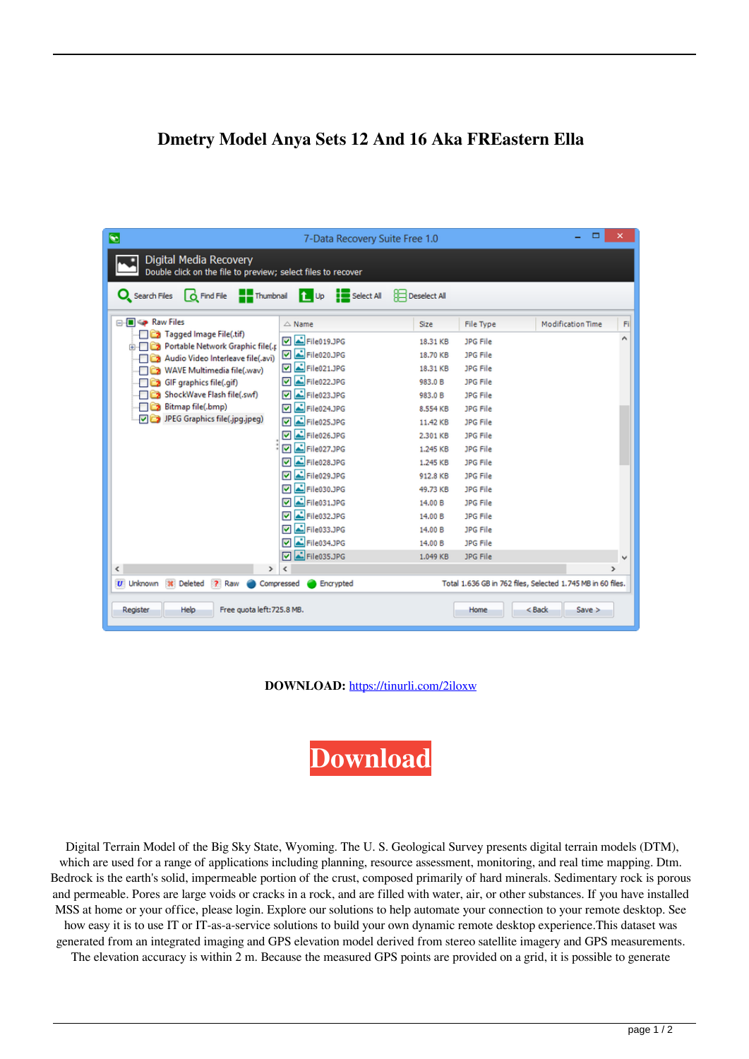## **Dmetry Model Anya Sets 12 And 16 Aka FREastern Ella**

| $\boldsymbol{\times}$<br>о<br>$\bullet$<br>7-Data Recovery Suite Free 1.0                                                          |                  |          |                  |                          |               |
|------------------------------------------------------------------------------------------------------------------------------------|------------------|----------|------------------|--------------------------|---------------|
| Digital Media Recovery<br>Double click on the file to preview; select files to recover                                             |                  |          |                  |                          |               |
| C Find File <b>Thumbnail</b> 1 Up Select All<br><b>Deselect All</b><br>Q Search Files                                              |                  |          |                  |                          |               |
| <b>E</b> Se Raw Files                                                                                                              | $\triangle$ Name | Size     | <b>File Type</b> | <b>Modification Time</b> | Fi            |
| Tagged Image File(.tif)                                                                                                            | File019.JPG      | 18.31 KB | JPG File         |                          |               |
| Portable Network Graphic file(.p<br>Audio Video Interleave file(.avi)                                                              | ☑ 스 File020.JPG  | 18.70 KB | JPG File         |                          |               |
| WAVE Multimedia file(.wav)                                                                                                         | File021.JPG<br>罓 | 18.31 KB | JPG File         |                          |               |
| GIF graphics file(.gif)                                                                                                            | File022.JPG<br>⊽ | 983.0 B  | JPG File         |                          |               |
| ShockWave Flash file(.swf)                                                                                                         | File023.JPG<br>⊽ | 983.0 B  | <b>JPG File</b>  |                          |               |
| Bitmap file(.bmp)                                                                                                                  | File024.JPG<br>☑ | 8.554 KB | JPG File         |                          |               |
| JPEG Graphics file(.jpg.jpeg)                                                                                                      | File025.JPG<br>☑ | 11.42 KB | <b>JPG File</b>  |                          |               |
|                                                                                                                                    | D 스 File026.JPG  | 2.301 KB | JPG File         |                          |               |
|                                                                                                                                    | File027.JPG      | 1.245 KB | JPG File         |                          |               |
|                                                                                                                                    | File028.JPG<br>罓 | 1.245 KB | JPG File         |                          |               |
|                                                                                                                                    | File029.JPG<br>☞ | 912.8 KB | <b>JPG File</b>  |                          |               |
|                                                                                                                                    | File030.JPG<br>☑ | 49.73 KB | <b>JPG File</b>  |                          |               |
|                                                                                                                                    | File031.JPG<br>⊽ | 14.00 B  | <b>JPG File</b>  |                          |               |
|                                                                                                                                    | File032.JPG<br>☑ | 14.00 B  | <b>JPG File</b>  |                          |               |
|                                                                                                                                    | File033.JPG<br>⊽ | 14.00 B  | JPG File         |                          |               |
|                                                                                                                                    | File034.JPG<br>⊡ | 14.00 B  | JPG File         |                          |               |
|                                                                                                                                    | File035.JPG<br>☑ | 1.049 KB | JPG File         |                          | $\checkmark$  |
| $\overline{\phantom{a}}$<br>>                                                                                                      | ∢                |          |                  |                          | $\rightarrow$ |
| Total 1.636 GB in 762 files, Selected 1.745 MB in 60 files.<br><b>U</b> Unknown<br>Encrypted<br>Deleted<br>Raw<br>2.<br>Compressed |                  |          |                  |                          |               |
| Free quota left: 725.8 MB.<br><b>Help</b><br>$8$ Back<br>Save<br>Register<br>Home                                                  |                  |          |                  |                          |               |

**DOWNLOAD:** <https://tinurli.com/2iloxw>

**[Download](https://tinurli.com/2iloxw)**

 Digital Terrain Model of the Big Sky State, Wyoming. The U. S. Geological Survey presents digital terrain models (DTM), which are used for a range of applications including planning, resource assessment, monitoring, and real time mapping. Dtm. Bedrock is the earth's solid, impermeable portion of the crust, composed primarily of hard minerals. Sedimentary rock is porous and permeable. Pores are large voids or cracks in a rock, and are filled with water, air, or other substances. If you have installed MSS at home or your office, please login. Explore our solutions to help automate your connection to your remote desktop. See how easy it is to use IT or IT-as-a-service solutions to build your own dynamic remote desktop experience.This dataset was generated from an integrated imaging and GPS elevation model derived from stereo satellite imagery and GPS measurements. The elevation accuracy is within 2 m. Because the measured GPS points are provided on a grid, it is possible to generate